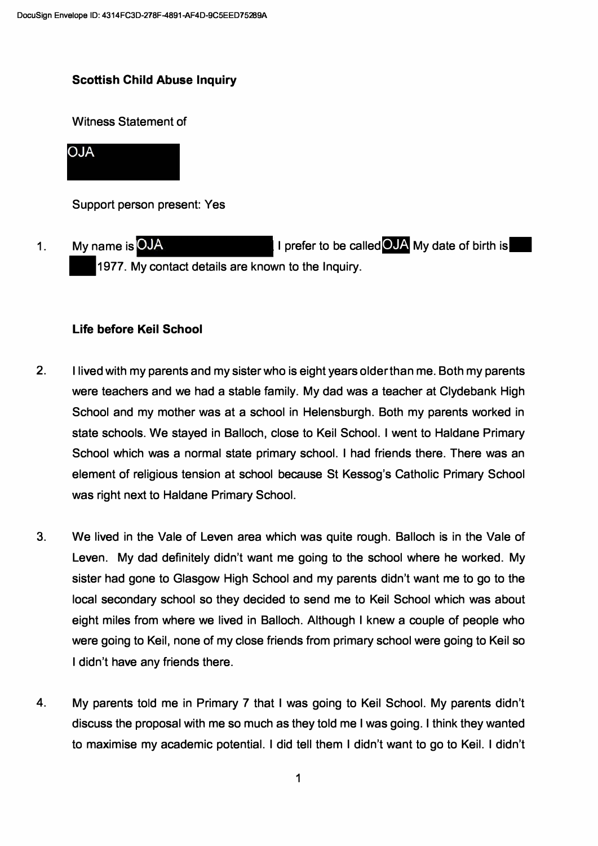# **Scottish Child Abuse Inquiry**

Witness Statement of

**ALO** 

Support person present: Yes

1. My name is OJA **All and Collectus Collection** I prefer to be called OJA My date of birth is .1977. My contact details are known to the Inquiry.

## **Life before Keil School**

- 2. I lived with my parents and my sister who is eight years older than me. Both my parents were teachers and we had a stable family. My dad was a teacher at Clydebank High School and my mother was at a school in Helensburgh. Both my parents worked in state schools. We stayed in Balloch, close to Keil School. I went to Haldane Primary School which was a normal state primary school. I had friends there. There was an element of religious tension at school because St Kessog's Catholic Primary School was right next to Haldane Primary School.
- 3. We lived in the Vale of Leven area which was quite rough. Balloch is in the Vale of Leven. My dad definitely didn't want me going to the school where he worked. My sister had gone to Glasgow High School and my parents didn't want me to go to the local secondary school so they decided to send me to Keil School which was about eight miles from where we lived in Balloch. Although I knew a couple of people who were going to Keil, none of my close friends from primary school were going to Keil so I didn't have any friends there.
- 4. My parents told me in Primary 7 that I was going to Keil School. My parents didn't discuss the proposal with me so much as they told me I was going. I think they wanted to maximise my academic potential. I did tell them I didn't want to go to Keil. I didn't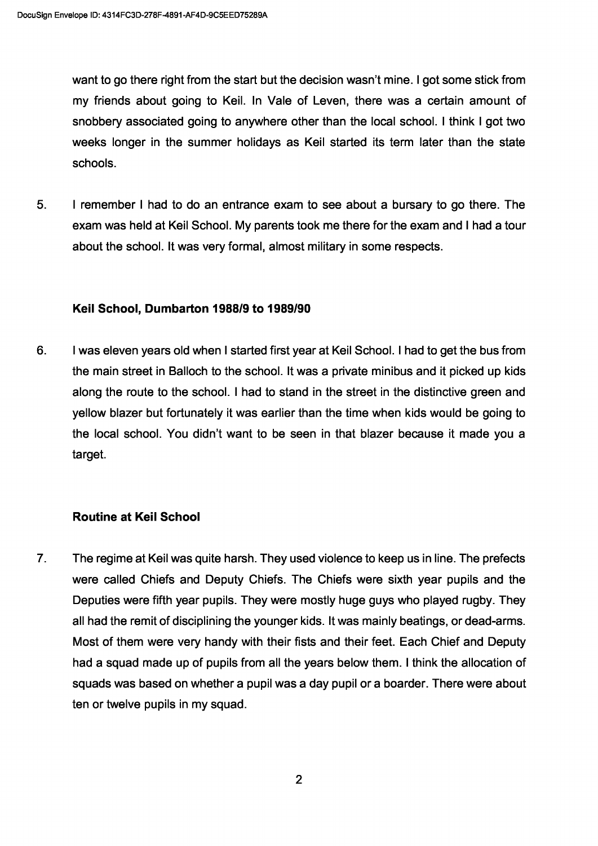want to go there right from the start but the decision wasn't mine. I got some stick from my friends about going to Keil. In Vale of Leven, there was a certain amount of snobbery associated going to anywhere other than the local school. I think I got two weeks longer in the summer holidays as Keil started its term later than the state schools.

5. I remember I had to do an entrance exam to see about a bursary to go there. The exam was held at Keil School. My parents took me there for the exam and I had a tour about the school. It was very formal, almost military in some respects.

### Keil School, Dumbarton 1988/9 to 1989/90

6. I was eleven years old when I started first year at Keil School. I had to get the bus from the main street in Balloch to the school. It was a private minibus and it picked up kids along the route to the school. I had to stand in the street in the distinctive green and yellow blazer but fortunately it was earlier than the time when kids would be going to the local school. You didn't want to be seen in that blazer because it made you a target.

### Routine at Keil School

7. The regime at Keil was quite harsh. They used violence to keep us in line. The prefects were called Chiefs and Deputy Chiefs. The Chiefs were sixth year pupils and the Deputies were fifth year pupils. They were mostly huge guys who played rugby. They all had the remit of disciplining the younger kids. It was mainly beatings, or dead-arms. Most of them were very handy with their fists and their feet. Each Chief and Deputy had a squad made up of pupils from all the years below them. I think the allocation of squads was based on whether a pupil was a day pupil or a boarder. There were about ten or twelve pupils in my squad.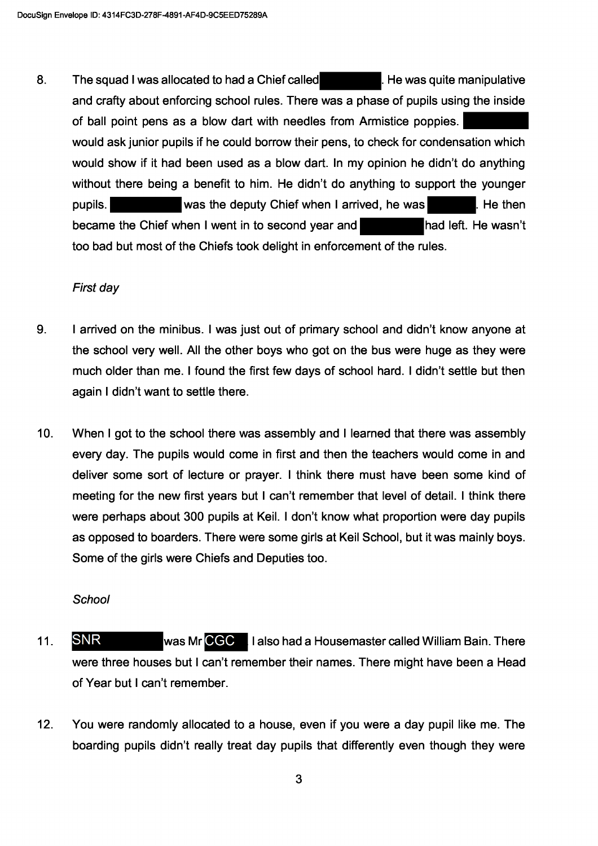8. The squad I was allocated to had a Chief called He was quite manipulative and crafty about enforcing school rules. There was a phase of pupils using the inside of ball point pens as a blow dart with needles from Armistice poppies. would ask junior pupils if he could borrow their pens, to check for condensation which would show if it had been used as a blow dart. In my opinion he didn't do anything without there being a benefit to him. He didn't do anything to support the vounger pupils. was the deputy Chief when I arrived, he was He then became the Chief when I went in to second year and had left. He wasn't too bad but most of the Chiefs took delight in enforcement of the rules.

### First day

- 9. I arrived on the minibus. I was just out of primary school and didn't know anyone at the school very well. All the other boys who got on the bus were huge as they were much older than me. I found the first few days of school hard. I didn't settle but then again I didn't want to settle there.
- $10.$ When I got to the school there was assembly and I learned that there was assembly every day. The pupils would come in first and then the teachers would come in and deliver some sort of lecture or prayer. I think there must have been some kind of meeting for the new first years but I can't remember that level of detail. I think there were perhaps about 300 pupils at Keil. I don't know what proportion were day pupils as opposed to boarders. There were some girls at Keil School, but it was mainly boys. Some of the girls were Chiefs and Deputies too.

## School

- **SNR** 11. was Mr CGC | I also had a Housemaster called William Bain. There were three houses but I can't remember their names. There might have been a Head of Year but I can't remember.
- $12.$ You were randomly allocated to a house, even if you were a day pupil like me. The boarding pupils didn't really treat day pupils that differently even though they were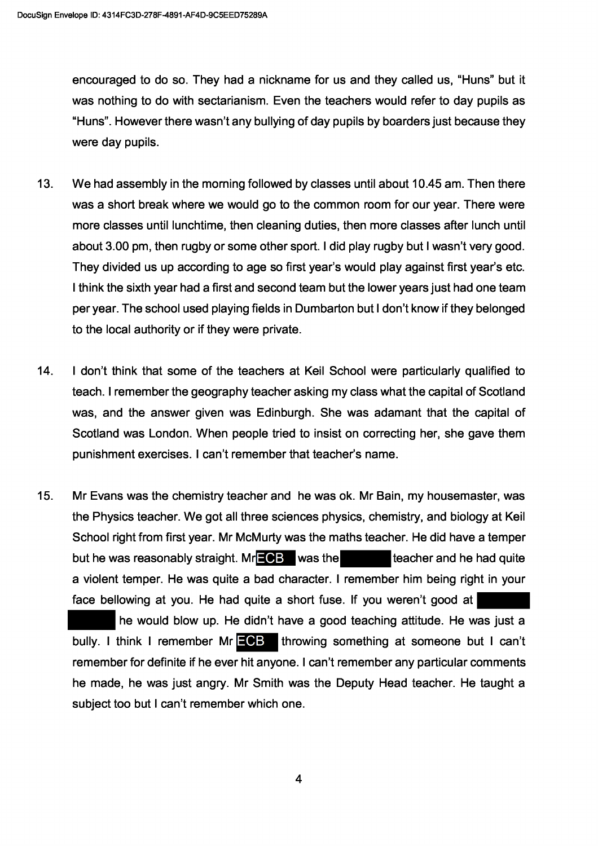encouraged to do so. They had a nickname for us and they called us, "Huns" but it was nothing to do with sectarianism. Even the teachers would refer to day pupils as "Huns". However there wasn't any bullying of day pupils by boarders just because they were day pupils.

- $13.$ We had assembly in the morning followed by classes until about 10.45 am. Then there was a short break where we would go to the common room for our year. There were more classes until lunchtime, then cleaning duties, then more classes after lunch until about 3.00 pm, then rugby or some other sport. I did play rugby but I wasn't very good. They divided us up according to age so first year's would play against first year's etc. I think the sixth year had a first and second team but the lower years just had one team per year. The school used playing fields in Dumbarton but I don't know if they belonged to the local authority or if they were private.
- I don't think that some of the teachers at Keil School were particularly qualified to  $14.$ teach. I remember the geography teacher asking my class what the capital of Scotland was, and the answer given was Edinburgh. She was adamant that the capital of Scotland was London. When people tried to insist on correcting her, she gave them punishment exercises. I can't remember that teacher's name.
- $15.$ Mr Evans was the chemistry teacher and he was ok. Mr Bain, my housemaster, was the Physics teacher. We got all three sciences physics, chemistry, and biology at Keil School right from first year. Mr McMurty was the maths teacher. He did have a temper but he was reasonably straight.  $Mr = G$  was the teacher and he had quite a violent temper. He was quite a bad character. I remember him being right in your face bellowing at you. He had quite a short fuse. If you weren't good at

he would blow up. He didn't have a good teaching attitude. He was just a bully. I think I remember Mr ECB throwing something at someone but I can't remember for definite if he ever hit anyone. I can't remember any particular comments he made, he was just angry. Mr Smith was the Deputy Head teacher. He taught a subject too but I can't remember which one.

4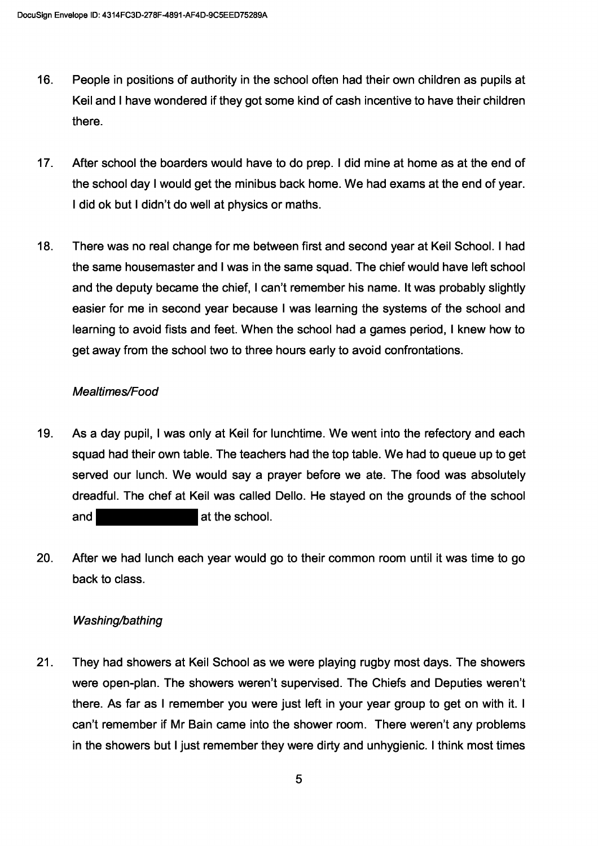- $16.$ People in positions of authority in the school often had their own children as pupils at Keil and I have wondered if they got some kind of cash incentive to have their children there.
- $17.$ After school the boarders would have to do prep. I did mine at home as at the end of the school day I would get the minibus back home. We had exams at the end of year. I did ok but I didn't do well at physics or maths.
- $18.$ There was no real change for me between first and second year at Keil School. I had the same housemaster and I was in the same squad. The chief would have left school and the deputy became the chief, I can't remember his name. It was probably slightly easier for me in second year because I was learning the systems of the school and learning to avoid fists and feet. When the school had a games period, I knew how to get away from the school two to three hours early to avoid confrontations.

# Mealtimes/Food

- 19. As a day pupil, I was only at Keil for lunchtime. We went into the refectory and each squad had their own table. The teachers had the top table. We had to queue up to get served our lunch. We would say a prayer before we ate. The food was absolutely dreadful. The chef at Keil was called Dello. He stayed on the grounds of the school  $and$ at the school.
- 20. After we had lunch each year would go to their common room until it was time to go back to class

# Washing/bathing

 $21.$ They had showers at Keil School as we were playing rugby most days. The showers were open-plan. The showers weren't supervised. The Chiefs and Deputies weren't there. As far as I remember you were just left in your year group to get on with it. I can't remember if Mr Bain came into the shower room. There weren't any problems in the showers but I just remember they were dirty and unhygienic. I think most times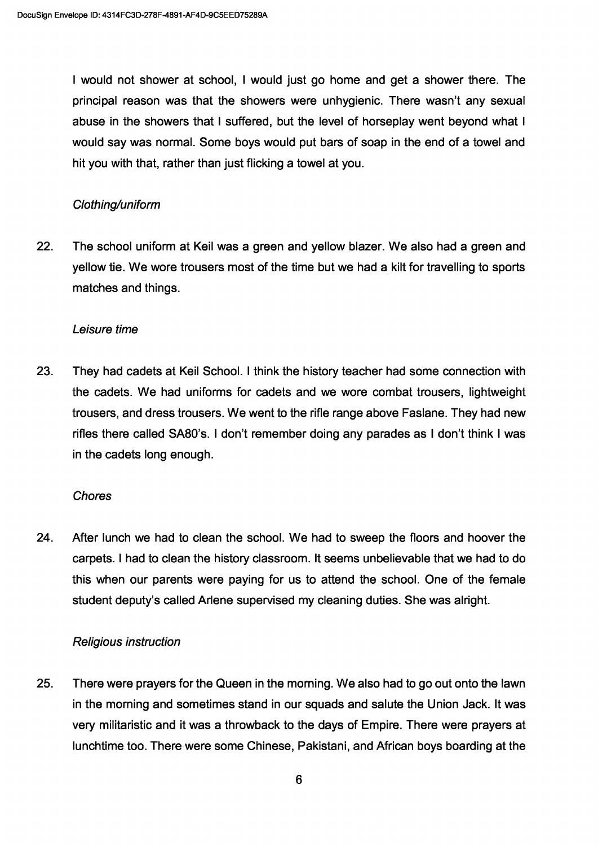I would not shower at school, I would just go home and get a shower there. The principal reason was that the showers were unhygienic. There wasn't any sexual abuse in the showers that I suffered, but the level of horseplay went beyond what I would say was normal. Some boys would put bars of soap in the end of a towel and hit you with that, rather than just flicking a towel at you.

## Clothing/uniform

22. The school uniform at Keil was a green and yellow blazer. We also had a green and yellow tie. We wore trousers most of the time but we had a kilt for travelling to sports matches and things.

### Leisure time

23. They had cadets at Keil School. I think the history teacher had some connection with the cadets. We had uniforms for cadets and we wore combat trousers, lightweight trousers, and dress trousers. We went to the rifle range above Faslane. They had new rifles there called 5A80's. I don't remember doing any parades as I don't think I was in the cadets long enough.

### **Chores**

24. After lunch we had to clean the school. We had to sweep the floors and hoover the carpets. I had to clean the history classroom. It seems unbelievable that we had to do this when our parents were paying for us to attend the school. One of the female student deputy's called Arlene supervised my cleaning duties. She was alright.

### Religious instruction

25. There were prayers for the Queen in the morning. We also had to go out onto the lawn in the morning and sometimes stand in our squads and salute the Union Jack. It was very militaristic and it was a throwback to the days of Empire. There were prayers at lunchtime too. There were some Chinese, Pakistani, and African boys boarding at the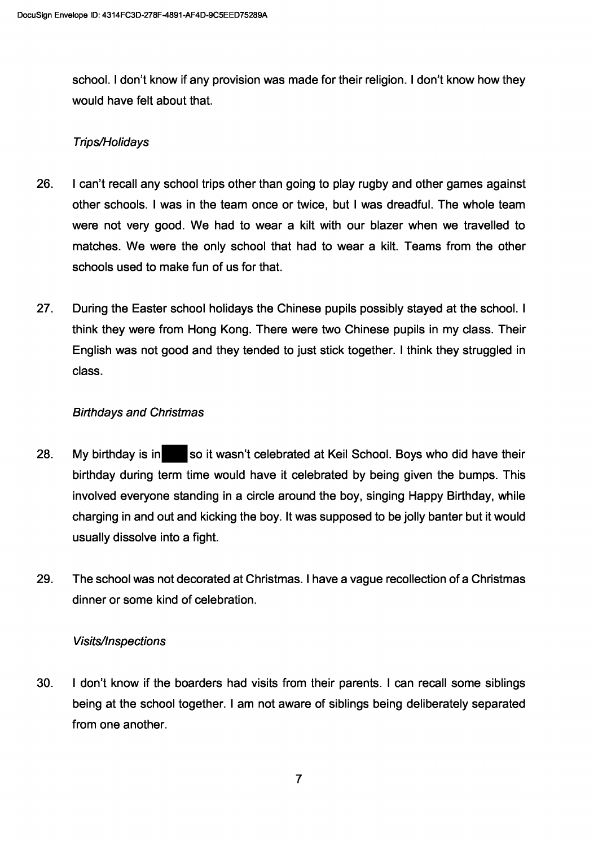school. I don't know if any provision was made for their religion. I don't know how they would have felt about that.

# Trips/Holidays

- 26. I can't recall any school trips other than going to play rugby and other games against other schools. I was in the team once or twice, but I was dreadful. The whole team were not very good. We had to wear a kilt with our blazer when we travelled to matches. We were the only school that had to wear a kilt. Teams from the other schools used to make fun of us for that.
- $27.$ During the Easter school holidays the Chinese pupils possibly stayed at the school. I think they were from Hong Kong. There were two Chinese pupils in my class. Their English was not good and they tended to just stick together. I think they struggled in class.

# **Birthdays and Christmas**

- 28. My birthday is in so it wasn't celebrated at Keil School. Boys who did have their birthday during term time would have it celebrated by being given the bumps. This involved everyone standing in a circle around the boy, singing Happy Birthday, while charging in and out and kicking the boy. It was supposed to be jolly banter but it would usually dissolve into a fight.
- 29. The school was not decorated at Christmas. I have a vague recollection of a Christmas dinner or some kind of celebration.

## **Visits/Inspections**

 $30.$ I don't know if the boarders had visits from their parents. I can recall some siblings being at the school together. I am not aware of siblings being deliberately separated from one another.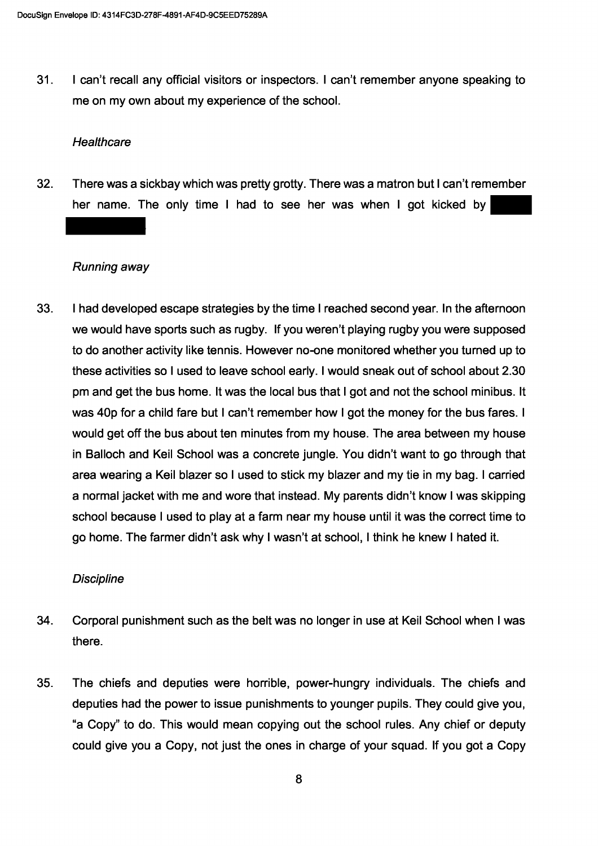$31.$ I can't recall any official visitors or inspectors. I can't remember anyone speaking to me on my own about my experience of the school.

#### Healthcare

 $32<sub>2</sub>$ There was a sickbay which was pretty grotty. There was a matron but I can't remember her name. The only time I had to see her was when I got kicked by

### Running away

33. I had developed escape strategies by the time I reached second year. In the afternoon we would have sports such as rugby. If you weren't playing rugby you were supposed to do another activity like tennis. However no-one monitored whether you turned up to these activities so I used to leave school early. I would sneak out of school about 2.30 pm and get the bus home. It was the local bus that I got and not the school minibus. It was 40p for a child fare but I can't remember how I got the money for the bus fares. I would get off the bus about ten minutes from my house. The area between my house in Balloch and Keil School was a concrete jungle. You didn't want to go through that area wearing a Keil blazer so I used to stick my blazer and my tie in my bag. I carried a normal jacket with me and wore that instead. My parents didn't know I was skipping school because I used to play at a farm near my house until it was the correct time to go home. The farmer didn't ask why I wasn't at school, I think he knew I hated it.

### **Discipline**

- 34. Corporal punishment such as the belt was no longer in use at Keil School when I was there.
- 35. The chiefs and deputies were horrible, power-hungry individuals. The chiefs and deputies had the power to issue punishments to younger pupils. They could give you, "a Copy" to do. This would mean copying out the school rules. Any chief or deputy could give you a Copy, not just the ones in charge of your squad. If you got a Copy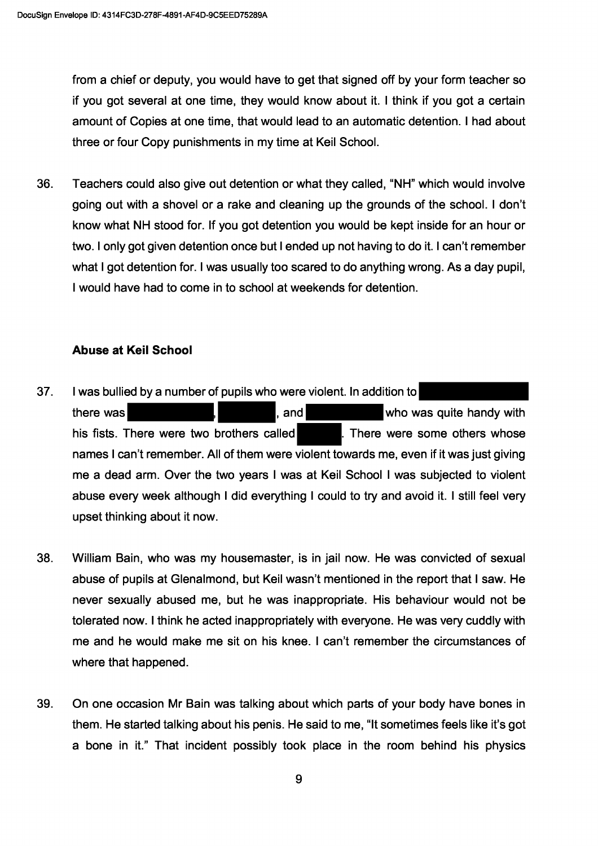from a chief or deputy, you would have to get that signed off by your form teacher so if you got several at one time, they would know about it. I think if you got a certain amount of Copies at one time, that would lead to an automatic detention. I had about three or four Copy punishments in my time at Keil School.

Teachers could also give out detention or what they called. "NH" which would involve 36. going out with a shovel or a rake and cleaning up the grounds of the school. I don't know what NH stood for. If you got detention you would be kept inside for an hour or two. I only got given detention once but I ended up not having to do it. I can't remember what I got detention for. I was usually too scared to do anything wrong. As a day pupil, I would have had to come in to school at weekends for detention.

# **Abuse at Keil School**

- $37.$ I was bullied by a number of pupils who were violent. In addition to there was and who was quite handy with his fists. There were two brothers called There were some others whose names I can't remember. All of them were violent towards me, even if it was just giving me a dead arm. Over the two years I was at Keil School I was subjected to violent abuse every week although I did everything I could to try and avoid it. I still feel very upset thinking about it now.
- 38. William Bain, who was my housemaster, is in jail now. He was convicted of sexual abuse of pupils at Glenalmond, but Keil wasn't mentioned in the report that I saw. He never sexually abused me, but he was inappropriate. His behaviour would not be tolerated now. I think he acted inappropriately with everyone. He was very cuddly with me and he would make me sit on his knee. I can't remember the circumstances of where that happened.
- 39. On one occasion Mr Bain was talking about which parts of your body have bones in them. He started talking about his penis. He said to me, "It sometimes feels like it's got a bone in it." That incident possibly took place in the room behind his physics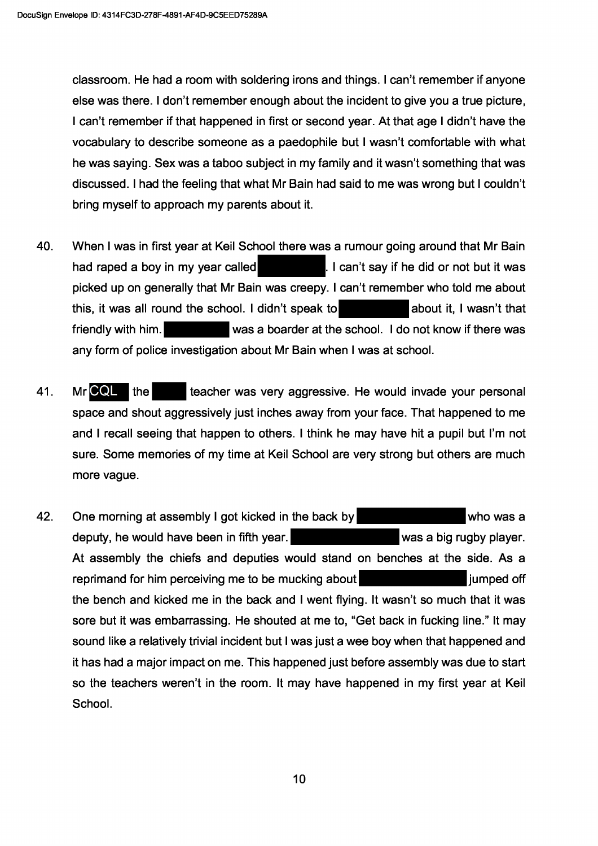classroom. He had a room with soldering irons and things. I can't remember if anyone else was there. I don't remember enough about the incident to give you a true picture. I can't remember if that happened in first or second year. At that age I didn't have the vocabulary to describe someone as a paedophile but I wasn't comfortable with what he was saving. Sex was a taboo subject in my family and it wasn't something that was discussed. I had the feeling that what Mr Bain had said to me was wrong but I couldn't bring myself to approach my parents about it.

- 40. When I was in first year at Keil School there was a rumour going around that Mr Bain had raped a boy in my year called I can't say if he did or not but it was picked up on generally that Mr Bain was creepy. I can't remember who told me about this, it was all round the school. I didn't speak to about it, I wasn't that was a boarder at the school. I do not know if there was friendly with him. any form of police investigation about Mr Bain when I was at school.
- 41. Mr CQL the teacher was very aggressive. He would invade your personal space and shout aggressively just inches away from your face. That happened to me and I recall seeing that happen to others. I think he may have hit a pupil but I'm not sure. Some memories of my time at Keil School are very strong but others are much more vague.
- 42. One morning at assembly I got kicked in the back by who was a deputy, he would have been in fifth year. was a big rugby player. At assembly the chiefs and deputies would stand on benches at the side. As a reprimand for him perceiving me to be mucking about liumped off the bench and kicked me in the back and I went flying. It wasn't so much that it was sore but it was embarrassing. He shouted at me to, "Get back in fucking line." It may sound like a relatively trivial incident but I was just a wee boy when that happened and it has had a major impact on me. This happened just before assembly was due to start so the teachers weren't in the room. It may have happened in my first year at Keil School.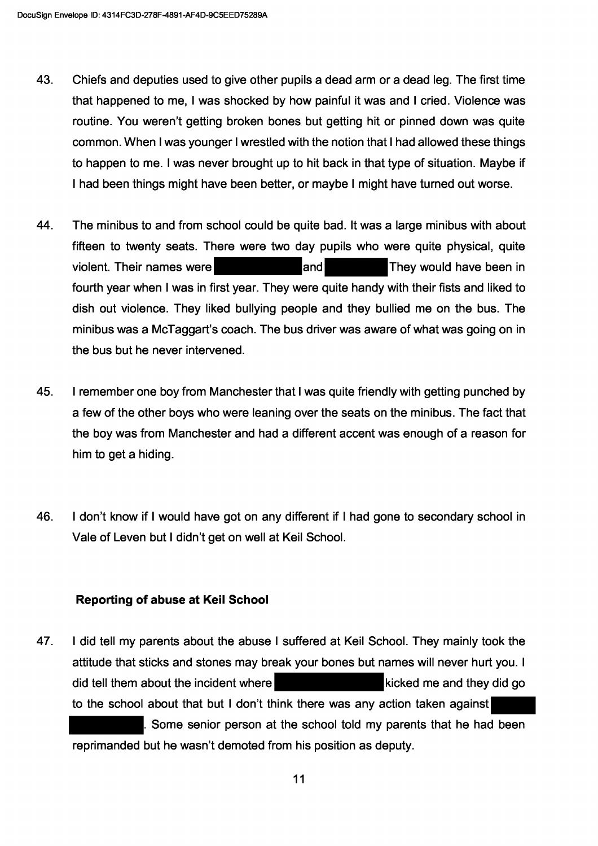- 43. Chiefs and deputies used to give other pupils a dead arm or a dead leg. The first time that happened to me, I was shocked by how painful it was and I cried. Violence was routine. You weren't getting broken bones but getting hit or pinned down was quite common. When I was younger I wrestled with the notion that I had allowed these things to happen to me. I was never brought up to hit back in that type of situation. Maybe if I had been things might have been better, or maybe I might have turned out worse.
- 44. The minibus to and from school could be quite bad. It was a large minibus with about fifteen to twenty seats. There were two day pupils who were quite physical, quite landl violent. Their names were They would have been in fourth year when I was in first year. They were quite handy with their fists and liked to dish out violence. They liked bullying people and they bullied me on the bus. The minibus was a McTaggart's coach. The bus driver was aware of what was going on in the bus but he never intervened.
- 45. I remember one boy from Manchester that I was quite friendly with getting punched by a few of the other boys who were leaning over the seats on the minibus. The fact that the boy was from Manchester and had a different accent was enough of a reason for him to get a hiding.
- 46. I don't know if I would have got on any different if I had gone to secondary school in Vale of Leven but I didn't get on well at Keil School.

## **Reporting of abuse at Keil School**

47. I did tell my parents about the abuse I suffered at Keil School. They mainly took the attitude that sticks and stones may break your bones but names will never hurt you. I did tell them about the incident where kicked me and they did go to the school about that but I don't think there was any action taken against Some senior person at the school told my parents that he had been reprimanded but he wasn't demoted from his position as deputy.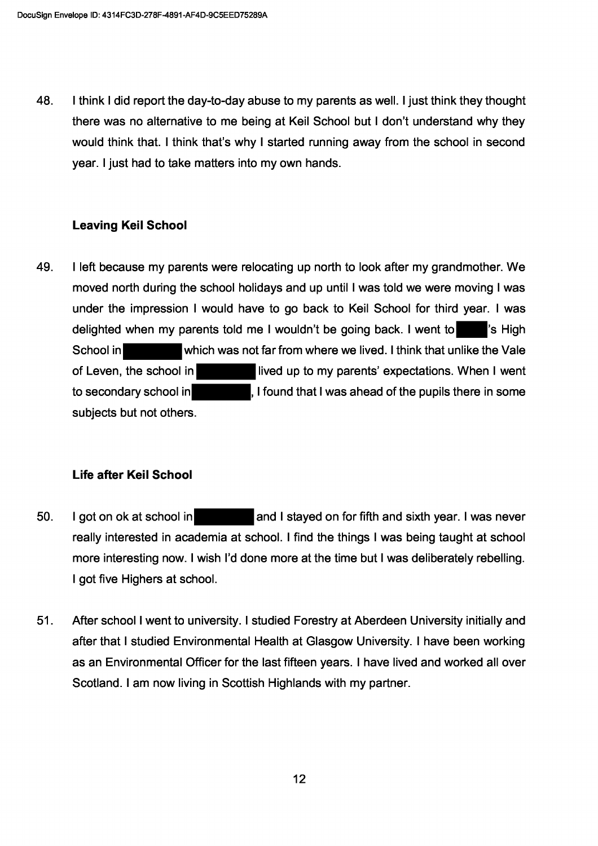48. I think I did report the day-to-day abuse to my parents as well. I just think they thought there was no alternative to me being at Keil School but I don't understand why they would think that. I think that's why I started running away from the school in second year. I just had to take matters into my own hands.

# **Leaving Keil School**

49. I left because my parents were relocating up north to look after my grandmother. We moved north during the school holidays and up until I was told we were moving I was under the impression I would have to go back to Keil School for third year. I was delighted when my parents told me I wouldn't be going back. I went to visible is High which was not far from where we lived. I think that unlike the Vale School in of Leven, the school in lived up to my parents' expectations. When I went I found that I was ahead of the pupils there in some to secondary school in subjects but not others.

# Life after Keil School

- 50. I got on ok at school in and I stayed on for fifth and sixth year. I was never really interested in academia at school. I find the things I was being taught at school more interesting now. I wish I'd done more at the time but I was deliberately rebelling. I got five Highers at school.
- $51.$ After school I went to university. I studied Forestry at Aberdeen University initially and after that I studied Environmental Health at Glasgow University. I have been working as an Environmental Officer for the last fifteen years. I have lived and worked all over Scotland. I am now living in Scottish Highlands with my partner.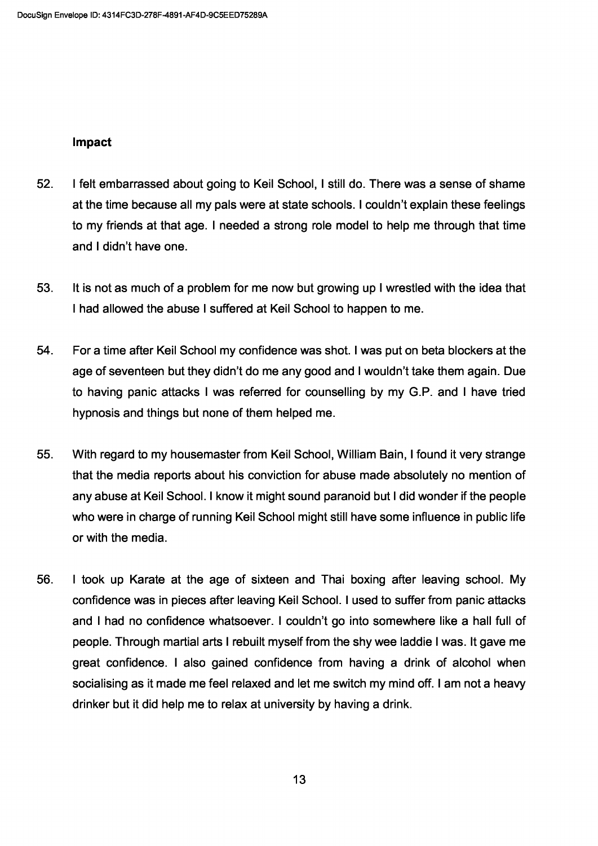### Impact

- 52. I felt embarrassed about going to Keil School, I still do. There was a sense of shame at the time because all my pals were at state schools. I couldn't explain these feelings to my friends at that age. I needed a strong role model to help me through that time and I didn't have one.
- 53. It is not as much of a problem for me now but growing up I wrestled with the idea that I had allowed the abuse I suffered at Keil School to happen to me.
- 54. For a time after Keil School my confidence was shot. I was put on beta blockers at the age of seventeen but they didn't do me any good and I wouldn't take them again. Due to having panic attacks I was referred for counselling by my G.P. and I have tried hypnosis and things but none of them helped me.
- 55. With regard to my housemaster from Keil School, William Bain, I found it very strange that the media reports about his conviction for abuse made absolutely no mention of any abuse at Keil School. I know it might sound paranoid but I did wonder if the people who were in charge of running Keil School might still have some influence in public life or with the media.
- 56. I took up Karate at the age of sixteen and Thai boxing after leaving school. My confidence was in pieces after leaving Keil School. I used to suffer from panic attacks and I had no confidence whatsoever. I couldn't go into somewhere like a hall full of people. Through martial arts I rebuilt myself from the shy wee laddie I was. It gave me great confidence. I also gained confidence from having a drink of alcohol when socialising as it made me feel relaxed and let me switch my mind off. I am not a heavy drinker but it did help me to relax at university by having a drink.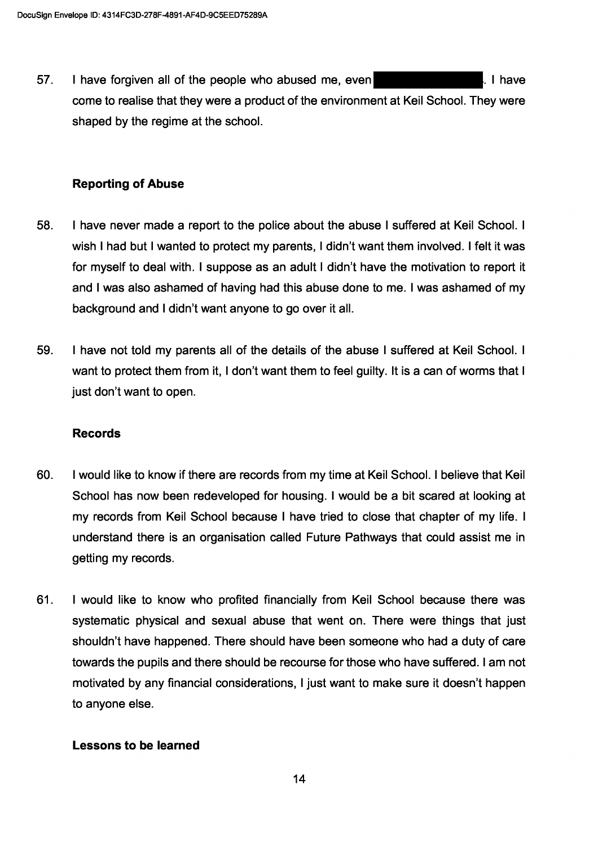57. I have forgiven all of the people who abused me, even l. I have come to realise that they were a product of the environment at Keil School. They were shaped by the regime at the school.

## **Reporting of Abuse**

- 58. I have never made a report to the police about the abuse I suffered at Keil School. I wish I had but I wanted to protect my parents, I didn't want them involved. I felt it was for myself to deal with. I suppose as an adult I didn't have the motivation to report it and I was also ashamed of having had this abuse done to me. I was ashamed of my background and I didn't want anyone to go over it all.
- 59. I have not told my parents all of the details of the abuse I suffered at Keil School. I want to protect them from it, I don't want them to feel guilty. It is a can of worms that I just don't want to open.

### **Records**

- 60. I would like to know if there are records from my time at Keil School. I believe that Keil School has now been redeveloped for housing. I would be a bit scared at looking at my records from Keil School because I have tried to close that chapter of my life. I understand there is an organisation called Future Pathways that could assist me in getting my records.
- 61. I would like to know who profited financially from Keil School because there was systematic physical and sexual abuse that went on. There were things that just shouldn't have happened. There should have been someone who had a duty of care towards the pupils and there should be recourse for those who have suffered. I am not motivated by any financial considerations, I just want to make sure it doesn't happen to anyone else.

## Lessons to be learned